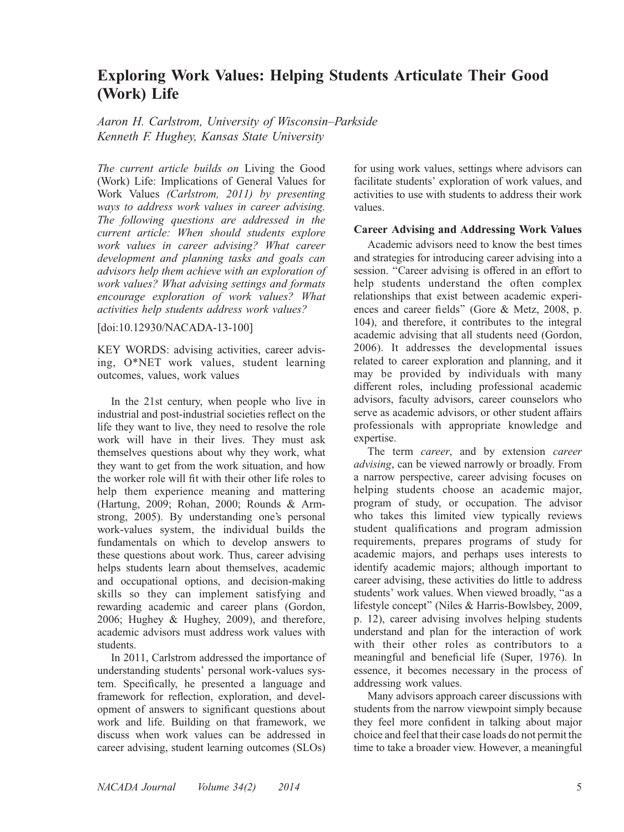# Exploring Work Values: Helping Students Articulate Their Good (Work) Life

Aaron H. Carlstrom, University of Wisconsin–Parkside Kenneth F. Hughey, Kansas State University

The current article builds on Living the Good (Work) Life: Implications of General Values for Work Values (Carlstrom, 2011) by presenting ways to address work values in career advising. The following questions are addressed in the current article: When should students explore work values in career advising? What career development and planning tasks and goals can advisors help them achieve with an exploration of work values? What advising settings and formats encourage exploration of work values? What activities help students address work values?

[doi:10.12930/NACADA-13-100]

KEY WORDS: advising activities, career advising, O\*NET work values, student learning outcomes, values, work values

In the 21st century, when people who live in industrial and post-industrial societies reflect on the life they want to live, they need to resolve the role work will have in their lives. They must ask themselves questions about why they work, what they want to get from the work situation, and how the worker role will fit with their other life roles to help them experience meaning and mattering (Hartung, 2009; Rohan, 2000; Rounds & Armstrong, 2005). By understanding one's personal work-values system, the individual builds the fundamentals on which to develop answers to these questions about work. Thus, career advising helps students learn about themselves, academic and occupational options, and decision-making skills so they can implement satisfying and rewarding academic and career plans (Gordon, 2006; Hughey & Hughey, 2009), and therefore, academic advisors must address work values with students.

In 2011, Carlstrom addressed the importance of understanding students' personal work-values system. Specifically, he presented a language and framework for reflection, exploration, and development of answers to significant questions about work and life. Building on that framework, we discuss when work values can be addressed in career advising, student learning outcomes (SLOs)

for using work values, settings where advisors can facilitate students' exploration of work values, and activities to use with students to address their work values.

### Career Advising and Addressing Work Values

Academic advisors need to know the best times and strategies for introducing career advising into a session. "Career advising is offered in an effort to help students understand the often complex relationships that exist between academic experiences and career fields'' (Gore & Metz, 2008, p. 104), and therefore, it contributes to the integral academic advising that all students need (Gordon, 2006). It addresses the developmental issues related to career exploration and planning, and it may be provided by individuals with many different roles, including professional academic advisors, faculty advisors, career counselors who serve as academic advisors, or other student affairs professionals with appropriate knowledge and expertise.

The term *career*, and by extension *career* advising, can be viewed narrowly or broadly. From a narrow perspective, career advising focuses on helping students choose an academic major, program of study, or occupation. The advisor who takes this limited view typically reviews student qualifications and program admission requirements, prepares programs of study for academic majors, and perhaps uses interests to identify academic majors; although important to career advising, these activities do little to address students' work values. When viewed broadly, ''as a lifestyle concept'' (Niles & Harris-Bowlsbey, 2009, p. 12), career advising involves helping students understand and plan for the interaction of work with their other roles as contributors to a meaningful and beneficial life (Super, 1976). In essence, it becomes necessary in the process of addressing work values.

Many advisors approach career discussions with students from the narrow viewpoint simply because they feel more confident in talking about major choice and feel that their case loads do not permit the time to take a broader view. However, a meaningful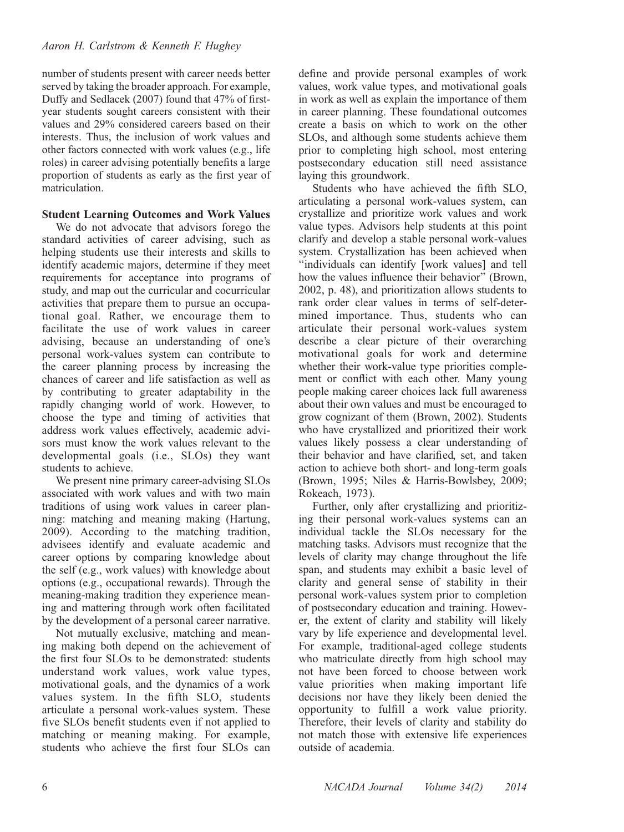number of students present with career needs better served by taking the broader approach. For example, Duffy and Sedlacek (2007) found that 47% of firstyear students sought careers consistent with their values and 29% considered careers based on their interests. Thus, the inclusion of work values and other factors connected with work values (e.g., life roles) in career advising potentially benefits a large proportion of students as early as the first year of matriculation.

### Student Learning Outcomes and Work Values

We do not advocate that advisors forego the standard activities of career advising, such as helping students use their interests and skills to identify academic majors, determine if they meet requirements for acceptance into programs of study, and map out the curricular and cocurricular activities that prepare them to pursue an occupational goal. Rather, we encourage them to facilitate the use of work values in career advising, because an understanding of one's personal work-values system can contribute to the career planning process by increasing the chances of career and life satisfaction as well as by contributing to greater adaptability in the rapidly changing world of work. However, to choose the type and timing of activities that address work values effectively, academic advisors must know the work values relevant to the developmental goals (i.e., SLOs) they want students to achieve.

We present nine primary career-advising SLOs associated with work values and with two main traditions of using work values in career planning: matching and meaning making (Hartung, 2009). According to the matching tradition, advisees identify and evaluate academic and career options by comparing knowledge about the self (e.g., work values) with knowledge about options (e.g., occupational rewards). Through the meaning-making tradition they experience meaning and mattering through work often facilitated by the development of a personal career narrative.

Not mutually exclusive, matching and meaning making both depend on the achievement of the first four SLOs to be demonstrated: students understand work values, work value types, motivational goals, and the dynamics of a work values system. In the fifth SLO, students articulate a personal work-values system. These five SLOs benefit students even if not applied to matching or meaning making. For example, students who achieve the first four SLOs can

define and provide personal examples of work values, work value types, and motivational goals in work as well as explain the importance of them in career planning. These foundational outcomes create a basis on which to work on the other SLOs, and although some students achieve them prior to completing high school, most entering postsecondary education still need assistance laying this groundwork.

Students who have achieved the fifth SLO, articulating a personal work-values system, can crystallize and prioritize work values and work value types. Advisors help students at this point clarify and develop a stable personal work-values system. Crystallization has been achieved when ''individuals can identify [work values] and tell how the values influence their behavior'' (Brown, 2002, p. 48), and prioritization allows students to rank order clear values in terms of self-determined importance. Thus, students who can articulate their personal work-values system describe a clear picture of their overarching motivational goals for work and determine whether their work-value type priorities complement or conflict with each other. Many young people making career choices lack full awareness about their own values and must be encouraged to grow cognizant of them (Brown, 2002). Students who have crystallized and prioritized their work values likely possess a clear understanding of their behavior and have clarified, set, and taken action to achieve both short- and long-term goals (Brown, 1995; Niles & Harris-Bowlsbey, 2009; Rokeach, 1973).

Further, only after crystallizing and prioritizing their personal work-values systems can an individual tackle the SLOs necessary for the matching tasks. Advisors must recognize that the levels of clarity may change throughout the life span, and students may exhibit a basic level of clarity and general sense of stability in their personal work-values system prior to completion of postsecondary education and training. However, the extent of clarity and stability will likely vary by life experience and developmental level. For example, traditional-aged college students who matriculate directly from high school may not have been forced to choose between work value priorities when making important life decisions nor have they likely been denied the opportunity to fulfill a work value priority. Therefore, their levels of clarity and stability do not match those with extensive life experiences outside of academia.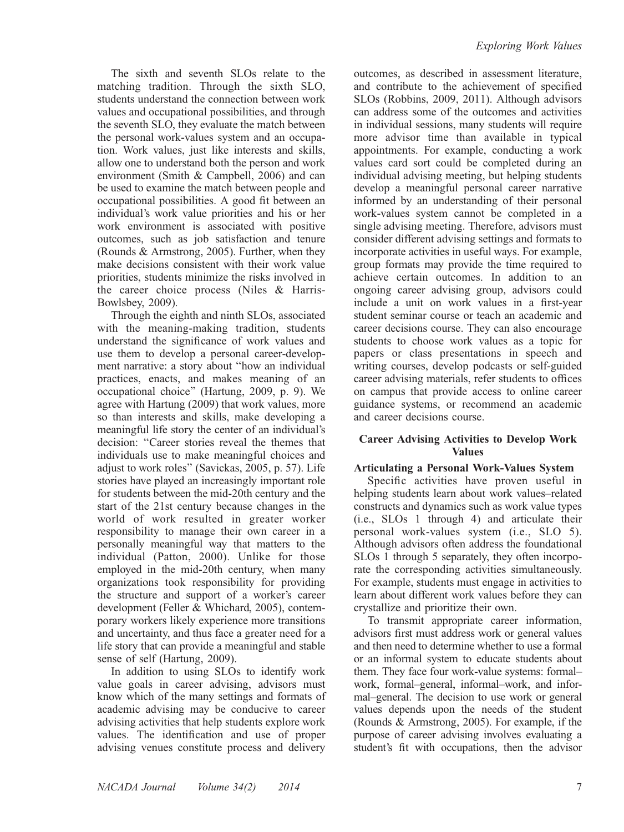The sixth and seventh SLOs relate to the matching tradition. Through the sixth SLO, students understand the connection between work values and occupational possibilities, and through the seventh SLO, they evaluate the match between the personal work-values system and an occupation. Work values, just like interests and skills, allow one to understand both the person and work environment (Smith & Campbell, 2006) and can be used to examine the match between people and occupational possibilities. A good fit between an individual's work value priorities and his or her work environment is associated with positive outcomes, such as job satisfaction and tenure (Rounds & Armstrong, 2005). Further, when they make decisions consistent with their work value priorities, students minimize the risks involved in the career choice process (Niles & Harris-Bowlsbey, 2009).

Through the eighth and ninth SLOs, associated with the meaning-making tradition, students understand the significance of work values and use them to develop a personal career-development narrative: a story about ''how an individual practices, enacts, and makes meaning of an occupational choice'' (Hartung, 2009, p. 9). We agree with Hartung (2009) that work values, more so than interests and skills, make developing a meaningful life story the center of an individual's decision: ''Career stories reveal the themes that individuals use to make meaningful choices and adjust to work roles'' (Savickas, 2005, p. 57). Life stories have played an increasingly important role for students between the mid-20th century and the start of the 21st century because changes in the world of work resulted in greater worker responsibility to manage their own career in a personally meaningful way that matters to the individual (Patton, 2000). Unlike for those employed in the mid-20th century, when many organizations took responsibility for providing the structure and support of a worker's career development (Feller & Whichard, 2005), contemporary workers likely experience more transitions and uncertainty, and thus face a greater need for a life story that can provide a meaningful and stable sense of self (Hartung, 2009).

In addition to using SLOs to identify work value goals in career advising, advisors must know which of the many settings and formats of academic advising may be conducive to career advising activities that help students explore work values. The identification and use of proper advising venues constitute process and delivery outcomes, as described in assessment literature, and contribute to the achievement of specified SLOs (Robbins, 2009, 2011). Although advisors can address some of the outcomes and activities in individual sessions, many students will require more advisor time than available in typical appointments. For example, conducting a work values card sort could be completed during an individual advising meeting, but helping students develop a meaningful personal career narrative informed by an understanding of their personal work-values system cannot be completed in a single advising meeting. Therefore, advisors must consider different advising settings and formats to incorporate activities in useful ways. For example, group formats may provide the time required to achieve certain outcomes. In addition to an ongoing career advising group, advisors could include a unit on work values in a first-year student seminar course or teach an academic and career decisions course. They can also encourage students to choose work values as a topic for papers or class presentations in speech and writing courses, develop podcasts or self-guided career advising materials, refer students to offices on campus that provide access to online career guidance systems, or recommend an academic and career decisions course.

### Career Advising Activities to Develop Work Values

### Articulating a Personal Work-Values System

Specific activities have proven useful in helping students learn about work values–related constructs and dynamics such as work value types (i.e., SLOs 1 through 4) and articulate their personal work-values system (i.e., SLO 5). Although advisors often address the foundational SLOs 1 through 5 separately, they often incorporate the corresponding activities simultaneously. For example, students must engage in activities to learn about different work values before they can crystallize and prioritize their own.

To transmit appropriate career information, advisors first must address work or general values and then need to determine whether to use a formal or an informal system to educate students about them. They face four work-value systems: formal– work, formal–general, informal–work, and informal–general. The decision to use work or general values depends upon the needs of the student (Rounds & Armstrong, 2005). For example, if the purpose of career advising involves evaluating a student's fit with occupations, then the advisor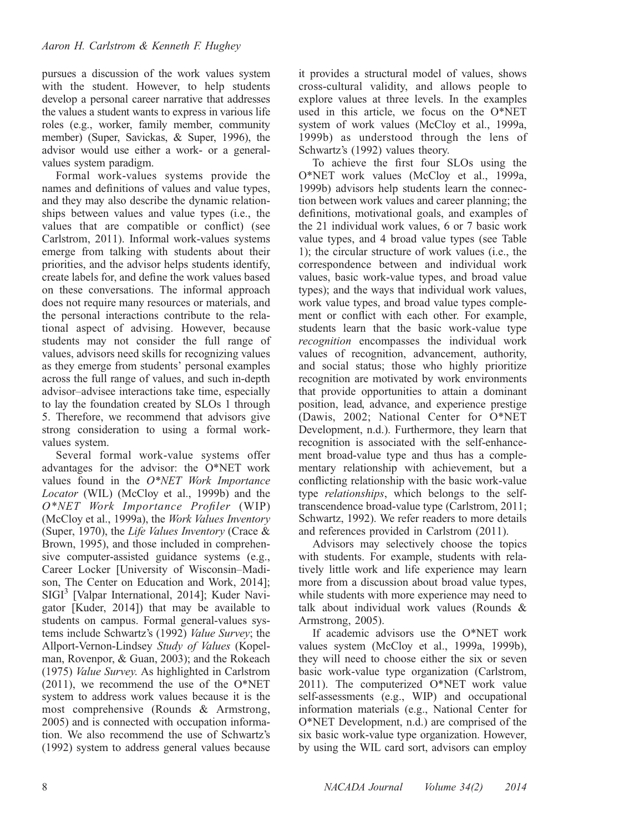pursues a discussion of the work values system with the student. However, to help students develop a personal career narrative that addresses the values a student wants to express in various life roles (e.g., worker, family member, community member) (Super, Savickas, & Super, 1996), the advisor would use either a work- or a generalvalues system paradigm.

Formal work-values systems provide the names and definitions of values and value types, and they may also describe the dynamic relationships between values and value types (i.e., the values that are compatible or conflict) (see Carlstrom, 2011). Informal work-values systems emerge from talking with students about their priorities, and the advisor helps students identify, create labels for, and define the work values based on these conversations. The informal approach does not require many resources or materials, and the personal interactions contribute to the relational aspect of advising. However, because students may not consider the full range of values, advisors need skills for recognizing values as they emerge from students' personal examples across the full range of values, and such in-depth advisor–advisee interactions take time, especially to lay the foundation created by SLOs 1 through 5. Therefore, we recommend that advisors give strong consideration to using a formal workvalues system.

Several formal work-value systems offer advantages for the advisor: the O\*NET work values found in the  $O*NET$  Work Importance Locator (WIL) (McCloy et al., 1999b) and the O\*NET Work Importance Profiler (WIP) (McCloy et al., 1999a), the Work Values Inventory (Super, 1970), the Life Values Inventory (Crace  $\&$ Brown, 1995), and those included in comprehensive computer-assisted guidance systems (e.g., Career Locker [University of Wisconsin–Madison, The Center on Education and Work, 2014];  $SIGI<sup>3</sup>$  [Valpar International, 2014]; Kuder Navigator [Kuder, 2014]) that may be available to students on campus. Formal general-values systems include Schwartz's (1992) Value Survey; the Allport-Vernon-Lindsey Study of Values (Kopelman, Rovenpor, & Guan, 2003); and the Rokeach (1975) Value Survey. As highlighted in Carlstrom (2011), we recommend the use of the O\*NET system to address work values because it is the most comprehensive (Rounds & Armstrong, 2005) and is connected with occupation information. We also recommend the use of Schwartz's (1992) system to address general values because

it provides a structural model of values, shows cross-cultural validity, and allows people to explore values at three levels. In the examples used in this article, we focus on the O\*NET system of work values (McCloy et al., 1999a, 1999b) as understood through the lens of Schwartz's (1992) values theory.

To achieve the first four SLOs using the O\*NET work values (McCloy et al., 1999a, 1999b) advisors help students learn the connection between work values and career planning; the definitions, motivational goals, and examples of the 21 individual work values, 6 or 7 basic work value types, and 4 broad value types (see Table 1); the circular structure of work values (i.e., the correspondence between and individual work values, basic work-value types, and broad value types); and the ways that individual work values, work value types, and broad value types complement or conflict with each other. For example, students learn that the basic work-value type recognition encompasses the individual work values of recognition, advancement, authority, and social status; those who highly prioritize recognition are motivated by work environments that provide opportunities to attain a dominant position, lead, advance, and experience prestige (Dawis, 2002; National Center for O\*NET Development, n.d.). Furthermore, they learn that recognition is associated with the self-enhancement broad-value type and thus has a complementary relationship with achievement, but a conflicting relationship with the basic work-value type relationships, which belongs to the selftranscendence broad-value type (Carlstrom, 2011; Schwartz, 1992). We refer readers to more details and references provided in Carlstrom (2011).

Advisors may selectively choose the topics with students. For example, students with relatively little work and life experience may learn more from a discussion about broad value types, while students with more experience may need to talk about individual work values (Rounds & Armstrong, 2005).

If academic advisors use the O\*NET work values system (McCloy et al., 1999a, 1999b), they will need to choose either the six or seven basic work-value type organization (Carlstrom, 2011). The computerized O\*NET work value self-assessments (e.g., WIP) and occupational information materials (e.g., National Center for O\*NET Development, n.d.) are comprised of the six basic work-value type organization. However, by using the WIL card sort, advisors can employ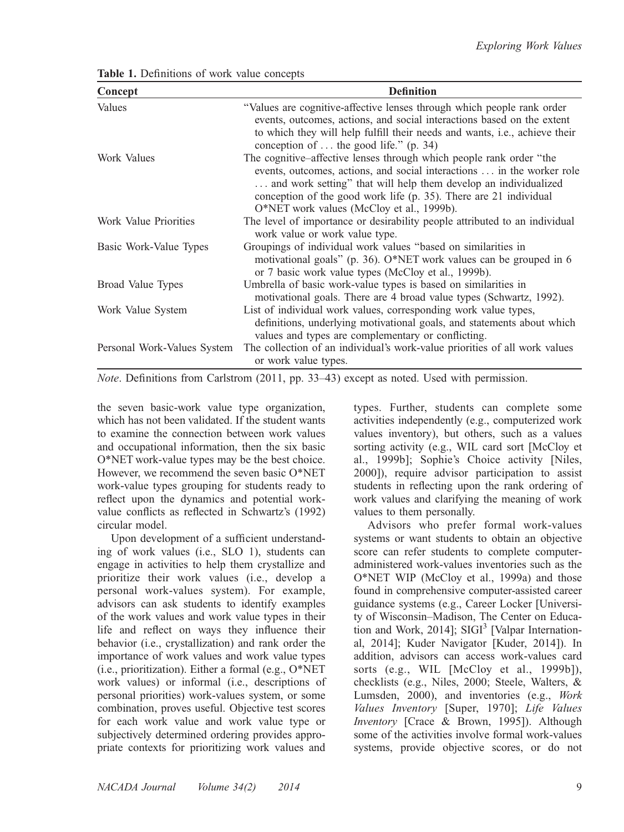| Concept                     | <b>Definition</b>                                                                                                                                                                                                                                                                                                                  |
|-----------------------------|------------------------------------------------------------------------------------------------------------------------------------------------------------------------------------------------------------------------------------------------------------------------------------------------------------------------------------|
| Values                      | "Values are cognitive-affective lenses through which people rank order<br>events, outcomes, actions, and social interactions based on the extent<br>to which they will help fulfill their needs and wants, <i>i.e.</i> , achieve their<br>conception of $\dots$ the good life." (p. 34)                                            |
| Work Values                 | The cognitive-affective lenses through which people rank order "the<br>events, outcomes, actions, and social interactions  in the worker role<br>and work setting" that will help them develop an individualized<br>conception of the good work life (p. 35). There are 21 individual<br>O*NET work values (McCloy et al., 1999b). |
| Work Value Priorities       | The level of importance or desirability people attributed to an individual<br>work value or work value type.                                                                                                                                                                                                                       |
| Basic Work-Value Types      | Groupings of individual work values "based on similarities in<br>motivational goals" (p. 36). O*NET work values can be grouped in 6<br>or 7 basic work value types (McCloy et al., 1999b).                                                                                                                                         |
| Broad Value Types           | Umbrella of basic work-value types is based on similarities in<br>motivational goals. There are 4 broad value types (Schwartz, 1992).                                                                                                                                                                                              |
| Work Value System           | List of individual work values, corresponding work value types,<br>definitions, underlying motivational goals, and statements about which<br>values and types are complementary or conflicting.                                                                                                                                    |
| Personal Work-Values System | The collection of an individual's work-value priorities of all work values<br>or work value types.                                                                                                                                                                                                                                 |

Table 1. Definitions of work value concepts

Note. Definitions from Carlstrom (2011, pp. 33–43) except as noted. Used with permission.

the seven basic-work value type organization, which has not been validated. If the student wants to examine the connection between work values and occupational information, then the six basic O\*NET work-value types may be the best choice. However, we recommend the seven basic O\*NET work-value types grouping for students ready to reflect upon the dynamics and potential workvalue conflicts as reflected in Schwartz's (1992) circular model.

Upon development of a sufficient understanding of work values (i.e., SLO 1), students can engage in activities to help them crystallize and prioritize their work values (i.e., develop a personal work-values system). For example, advisors can ask students to identify examples of the work values and work value types in their life and reflect on ways they influence their behavior (i.e., crystallization) and rank order the importance of work values and work value types (i.e., prioritization). Either a formal (e.g., O\*NET work values) or informal (i.e., descriptions of personal priorities) work-values system, or some combination, proves useful. Objective test scores for each work value and work value type or subjectively determined ordering provides appropriate contexts for prioritizing work values and

types. Further, students can complete some activities independently (e.g., computerized work values inventory), but others, such as a values sorting activity (e.g., WIL card sort [McCloy et al., 1999b]; Sophie's Choice activity [Niles, 2000]), require advisor participation to assist students in reflecting upon the rank ordering of work values and clarifying the meaning of work values to them personally.

Advisors who prefer formal work-values systems or want students to obtain an objective score can refer students to complete computeradministered work-values inventories such as the O\*NET WIP (McCloy et al., 1999a) and those found in comprehensive computer-assisted career guidance systems (e.g., Career Locker [University of Wisconsin–Madison, The Center on Education and Work, 2014];  $\text{SIGI}^3$  [Valpar International, 2014]; Kuder Navigator [Kuder, 2014]). In addition, advisors can access work-values card sorts (e.g., WIL [McCloy et al., 1999b]), checklists (e.g., Niles, 2000; Steele, Walters, & Lumsden, 2000), and inventories (e.g., Work Values Inventory [Super, 1970]; Life Values Inventory [Crace & Brown, 1995]). Although some of the activities involve formal work-values systems, provide objective scores, or do not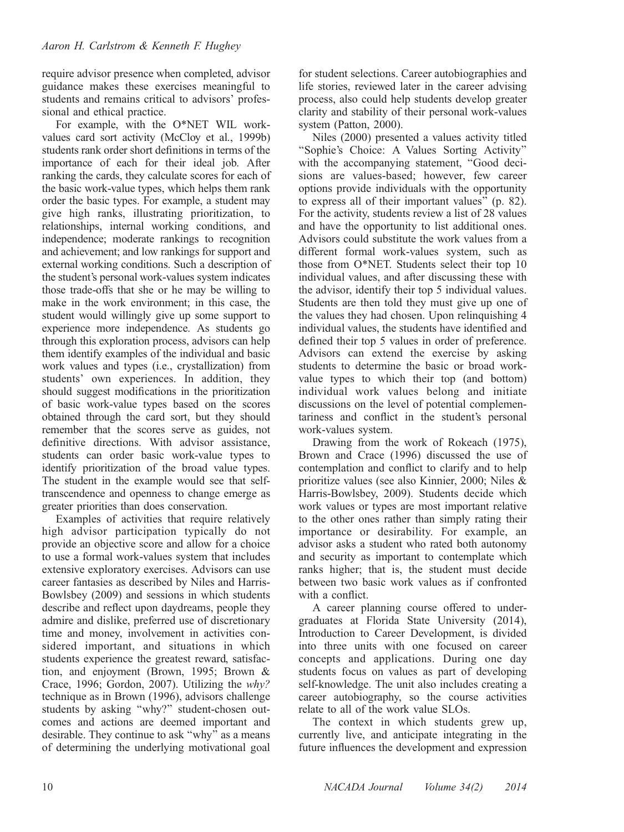require advisor presence when completed, advisor guidance makes these exercises meaningful to students and remains critical to advisors' professional and ethical practice.

For example, with the O\*NET WIL workvalues card sort activity (McCloy et al., 1999b) students rank order short definitions in terms of the importance of each for their ideal job. After ranking the cards, they calculate scores for each of the basic work-value types, which helps them rank order the basic types. For example, a student may give high ranks, illustrating prioritization, to relationships, internal working conditions, and independence; moderate rankings to recognition and achievement; and low rankings for support and external working conditions. Such a description of the student's personal work-values system indicates those trade-offs that she or he may be willing to make in the work environment; in this case, the student would willingly give up some support to experience more independence. As students go through this exploration process, advisors can help them identify examples of the individual and basic work values and types (i.e., crystallization) from students' own experiences. In addition, they should suggest modifications in the prioritization of basic work-value types based on the scores obtained through the card sort, but they should remember that the scores serve as guides, not definitive directions. With advisor assistance, students can order basic work-value types to identify prioritization of the broad value types. The student in the example would see that selftranscendence and openness to change emerge as greater priorities than does conservation.

Examples of activities that require relatively high advisor participation typically do not provide an objective score and allow for a choice to use a formal work-values system that includes extensive exploratory exercises. Advisors can use career fantasies as described by Niles and Harris-Bowlsbey (2009) and sessions in which students describe and reflect upon daydreams, people they admire and dislike, preferred use of discretionary time and money, involvement in activities considered important, and situations in which students experience the greatest reward, satisfaction, and enjoyment (Brown, 1995; Brown & Crace, 1996; Gordon, 2007). Utilizing the why? technique as in Brown (1996), advisors challenge students by asking "why?" student-chosen outcomes and actions are deemed important and desirable. They continue to ask ''why'' as a means of determining the underlying motivational goal

for student selections. Career autobiographies and life stories, reviewed later in the career advising process, also could help students develop greater clarity and stability of their personal work-values system (Patton, 2000).

Niles (2000) presented a values activity titled ''Sophie's Choice: A Values Sorting Activity'' with the accompanying statement, ''Good decisions are values-based; however, few career options provide individuals with the opportunity to express all of their important values'' (p. 82). For the activity, students review a list of 28 values and have the opportunity to list additional ones. Advisors could substitute the work values from a different formal work-values system, such as those from O\*NET. Students select their top 10 individual values, and after discussing these with the advisor, identify their top 5 individual values. Students are then told they must give up one of the values they had chosen. Upon relinquishing 4 individual values, the students have identified and defined their top 5 values in order of preference. Advisors can extend the exercise by asking students to determine the basic or broad workvalue types to which their top (and bottom) individual work values belong and initiate discussions on the level of potential complementariness and conflict in the student's personal work-values system.

Drawing from the work of Rokeach (1975), Brown and Crace (1996) discussed the use of contemplation and conflict to clarify and to help prioritize values (see also Kinnier, 2000; Niles & Harris-Bowlsbey, 2009). Students decide which work values or types are most important relative to the other ones rather than simply rating their importance or desirability. For example, an advisor asks a student who rated both autonomy and security as important to contemplate which ranks higher; that is, the student must decide between two basic work values as if confronted with a conflict.

A career planning course offered to undergraduates at Florida State University (2014), Introduction to Career Development, is divided into three units with one focused on career concepts and applications. During one day students focus on values as part of developing self-knowledge. The unit also includes creating a career autobiography, so the course activities relate to all of the work value SLOs.

The context in which students grew up, currently live, and anticipate integrating in the future influences the development and expression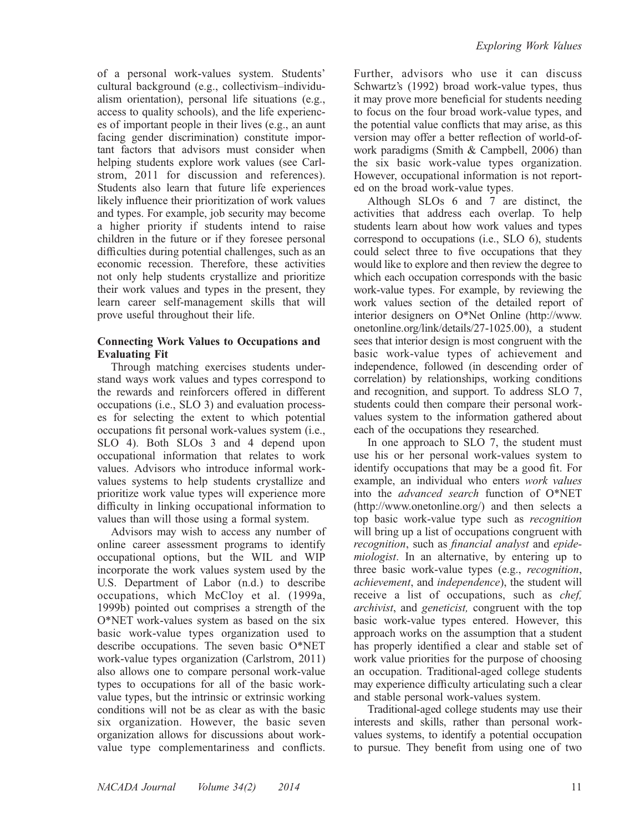of a personal work-values system. Students' cultural background (e.g., collectivism–individualism orientation), personal life situations (e.g., access to quality schools), and the life experiences of important people in their lives (e.g., an aunt facing gender discrimination) constitute important factors that advisors must consider when helping students explore work values (see Carlstrom, 2011 for discussion and references). Students also learn that future life experiences likely influence their prioritization of work values and types. For example, job security may become a higher priority if students intend to raise children in the future or if they foresee personal difficulties during potential challenges, such as an economic recession. Therefore, these activities not only help students crystallize and prioritize their work values and types in the present, they learn career self-management skills that will prove useful throughout their life.

## Connecting Work Values to Occupations and Evaluating Fit

Through matching exercises students understand ways work values and types correspond to the rewards and reinforcers offered in different occupations (i.e., SLO 3) and evaluation processes for selecting the extent to which potential occupations fit personal work-values system (i.e., SLO 4). Both SLOs 3 and 4 depend upon occupational information that relates to work values. Advisors who introduce informal workvalues systems to help students crystallize and prioritize work value types will experience more difficulty in linking occupational information to values than will those using a formal system.

Advisors may wish to access any number of online career assessment programs to identify occupational options, but the WIL and WIP incorporate the work values system used by the U.S. Department of Labor (n.d.) to describe occupations, which McCloy et al. (1999a, 1999b) pointed out comprises a strength of the O\*NET work-values system as based on the six basic work-value types organization used to describe occupations. The seven basic O\*NET work-value types organization (Carlstrom, 2011) also allows one to compare personal work-value types to occupations for all of the basic workvalue types, but the intrinsic or extrinsic working conditions will not be as clear as with the basic six organization. However, the basic seven organization allows for discussions about workvalue type complementariness and conflicts.

Further, advisors who use it can discuss Schwartz's (1992) broad work-value types, thus it may prove more beneficial for students needing to focus on the four broad work-value types, and the potential value conflicts that may arise, as this version may offer a better reflection of world-ofwork paradigms (Smith & Campbell, 2006) than the six basic work-value types organization. However, occupational information is not reported on the broad work-value types.

Although SLOs 6 and 7 are distinct, the activities that address each overlap. To help students learn about how work values and types correspond to occupations (i.e., SLO 6), students could select three to five occupations that they would like to explore and then review the degree to which each occupation corresponds with the basic work-value types. For example, by reviewing the work values section of the detailed report of interior designers on O\*Net Online (http://www. onetonline.org/link/details/27-1025.00), a student sees that interior design is most congruent with the basic work-value types of achievement and independence, followed (in descending order of correlation) by relationships, working conditions and recognition, and support. To address SLO 7, students could then compare their personal workvalues system to the information gathered about each of the occupations they researched.

In one approach to SLO 7, the student must use his or her personal work-values system to identify occupations that may be a good fit. For example, an individual who enters work values into the advanced search function of O\*NET (http://www.onetonline.org/) and then selects a top basic work-value type such as recognition will bring up a list of occupations congruent with recognition, such as financial analyst and epidemiologist. In an alternative, by entering up to three basic work-value types (e.g., recognition, achievement, and independence), the student will receive a list of occupations, such as chef, archivist, and geneticist, congruent with the top basic work-value types entered. However, this approach works on the assumption that a student has properly identified a clear and stable set of work value priorities for the purpose of choosing an occupation. Traditional-aged college students may experience difficulty articulating such a clear and stable personal work-values system.

Traditional-aged college students may use their interests and skills, rather than personal workvalues systems, to identify a potential occupation to pursue. They benefit from using one of two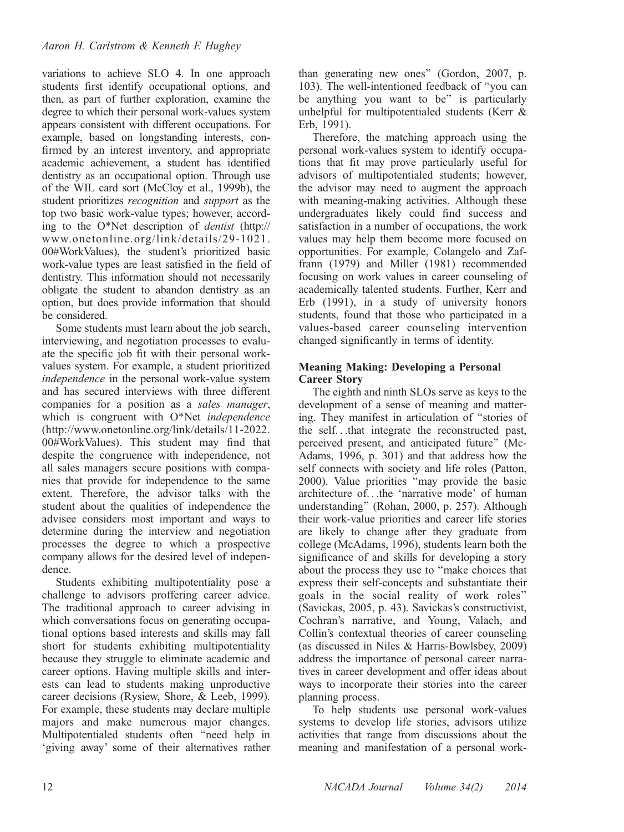variations to achieve SLO 4. In one approach students first identify occupational options, and then, as part of further exploration, examine the degree to which their personal work-values system appears consistent with different occupations. For example, based on longstanding interests, confirmed by an interest inventory, and appropriate academic achievement, a student has identified dentistry as an occupational option. Through use of the WIL card sort (McCloy et al., 1999b), the student prioritizes recognition and support as the top two basic work-value types; however, according to the O\*Net description of dentist (http:// www.onetonline.o rg/link/details/29-1021. 00#WorkValues), the student's prioritized basic work-value types are least satisfied in the field of dentistry. This information should not necessarily obligate the student to abandon dentistry as an option, but does provide information that should be considered.

Some students must learn about the job search, interviewing, and negotiation processes to evaluate the specific job fit with their personal workvalues system. For example, a student prioritized independence in the personal work-value system and has secured interviews with three different companies for a position as a sales manager, which is congruent with O\*Net independence (http://www.onetonline.org/link/details/11-2022. 00#WorkValues). This student may find that despite the congruence with independence, not all sales managers secure positions with companies that provide for independence to the same extent. Therefore, the advisor talks with the student about the qualities of independence the advisee considers most important and ways to determine during the interview and negotiation processes the degree to which a prospective company allows for the desired level of independence.

Students exhibiting multipotentiality pose a challenge to advisors proffering career advice. The traditional approach to career advising in which conversations focus on generating occupational options based interests and skills may fall short for students exhibiting multipotentiality because they struggle to eliminate academic and career options. Having multiple skills and interests can lead to students making unproductive career decisions (Rysiew, Shore, & Leeb, 1999). For example, these students may declare multiple majors and make numerous major changes. Multipotentialed students often ''need help in 'giving away' some of their alternatives rather than generating new ones'' (Gordon, 2007, p. 103). The well-intentioned feedback of ''you can be anything you want to be'' is particularly unhelpful for multipotentialed students (Kerr & Erb, 1991).

Therefore, the matching approach using the personal work-values system to identify occupations that fit may prove particularly useful for advisors of multipotentialed students; however, the advisor may need to augment the approach with meaning-making activities. Although these undergraduates likely could find success and satisfaction in a number of occupations, the work values may help them become more focused on opportunities. For example, Colangelo and Zaffrann (1979) and Miller (1981) recommended focusing on work values in career counseling of academically talented students. Further, Kerr and Erb (1991), in a study of university honors students, found that those who participated in a values-based career counseling intervention changed significantly in terms of identity.

### Meaning Making: Developing a Personal Career Story

The eighth and ninth SLOs serve as keys to the development of a sense of meaning and mattering. They manifest in articulation of ''stories of the self. . .that integrate the reconstructed past, perceived present, and anticipated future'' (Mc-Adams, 1996, p. 301) and that address how the self connects with society and life roles (Patton, 2000). Value priorities ''may provide the basic architecture of. . .the 'narrative mode' of human understanding'' (Rohan, 2000, p. 257). Although their work-value priorities and career life stories are likely to change after they graduate from college (McAdams, 1996), students learn both the significance of and skills for developing a story about the process they use to ''make choices that express their self-concepts and substantiate their goals in the social reality of work roles'' (Savickas, 2005, p. 43). Savickas's constructivist, Cochran's narrative, and Young, Valach, and Collin's contextual theories of career counseling (as discussed in Niles & Harris-Bowlsbey, 2009) address the importance of personal career narratives in career development and offer ideas about ways to incorporate their stories into the career planning process.

To help students use personal work-values systems to develop life stories, advisors utilize activities that range from discussions about the meaning and manifestation of a personal work-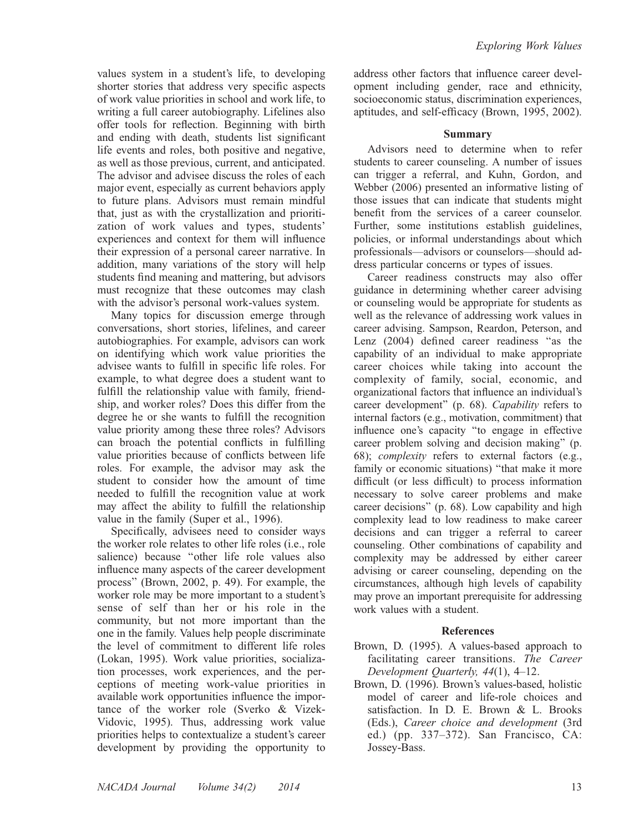values system in a student's life, to developing shorter stories that address very specific aspects of work value priorities in school and work life, to writing a full career autobiography. Lifelines also offer tools for reflection. Beginning with birth and ending with death, students list significant life events and roles, both positive and negative, as well as those previous, current, and anticipated. The advisor and advisee discuss the roles of each major event, especially as current behaviors apply to future plans. Advisors must remain mindful that, just as with the crystallization and prioritization of work values and types, students'

experiences and context for them will influence their expression of a personal career narrative. In addition, many variations of the story will help students find meaning and mattering, but advisors must recognize that these outcomes may clash with the advisor's personal work-values system.

Many topics for discussion emerge through conversations, short stories, lifelines, and career autobiographies. For example, advisors can work on identifying which work value priorities the advisee wants to fulfill in specific life roles. For example, to what degree does a student want to fulfill the relationship value with family, friendship, and worker roles? Does this differ from the degree he or she wants to fulfill the recognition value priority among these three roles? Advisors can broach the potential conflicts in fulfilling value priorities because of conflicts between life roles. For example, the advisor may ask the student to consider how the amount of time needed to fulfill the recognition value at work may affect the ability to fulfill the relationship value in the family (Super et al., 1996).

Specifically, advisees need to consider ways the worker role relates to other life roles (i.e., role salience) because ''other life role values also influence many aspects of the career development process'' (Brown, 2002, p. 49). For example, the worker role may be more important to a student's sense of self than her or his role in the community, but not more important than the one in the family. Values help people discriminate the level of commitment to different life roles (Lokan, 1995). Work value priorities, socialization processes, work experiences, and the perceptions of meeting work-value priorities in available work opportunities influence the importance of the worker role (Sverko & Vizek-Vidovic, 1995). Thus, addressing work value priorities helps to contextualize a student's career development by providing the opportunity to address other factors that influence career development including gender, race and ethnicity, socioeconomic status, discrimination experiences, aptitudes, and self-efficacy (Brown, 1995, 2002).

### Summary

Advisors need to determine when to refer students to career counseling. A number of issues can trigger a referral, and Kuhn, Gordon, and Webber (2006) presented an informative listing of those issues that can indicate that students might benefit from the services of a career counselor. Further, some institutions establish guidelines, policies, or informal understandings about which professionals—advisors or counselors—should address particular concerns or types of issues.

Career readiness constructs may also offer guidance in determining whether career advising or counseling would be appropriate for students as well as the relevance of addressing work values in career advising. Sampson, Reardon, Peterson, and Lenz (2004) defined career readiness ''as the capability of an individual to make appropriate career choices while taking into account the complexity of family, social, economic, and organizational factors that influence an individual's career development'' (p. 68). Capability refers to internal factors (e.g., motivation, commitment) that influence one's capacity ''to engage in effective career problem solving and decision making'' (p. 68); complexity refers to external factors (e.g., family or economic situations) "that make it more difficult (or less difficult) to process information necessary to solve career problems and make career decisions'' (p. 68). Low capability and high complexity lead to low readiness to make career decisions and can trigger a referral to career counseling. Other combinations of capability and complexity may be addressed by either career advising or career counseling, depending on the circumstances, although high levels of capability may prove an important prerequisite for addressing work values with a student.

### References

- Brown, D. (1995). A values-based approach to facilitating career transitions. The Career Development Quarterly, 44(1), 4–12.
- Brown, D. (1996). Brown's values-based, holistic model of career and life-role choices and satisfaction. In D. E. Brown & L. Brooks (Eds.), Career choice and development (3rd ed.) (pp. 337–372). San Francisco, CA: Jossey-Bass.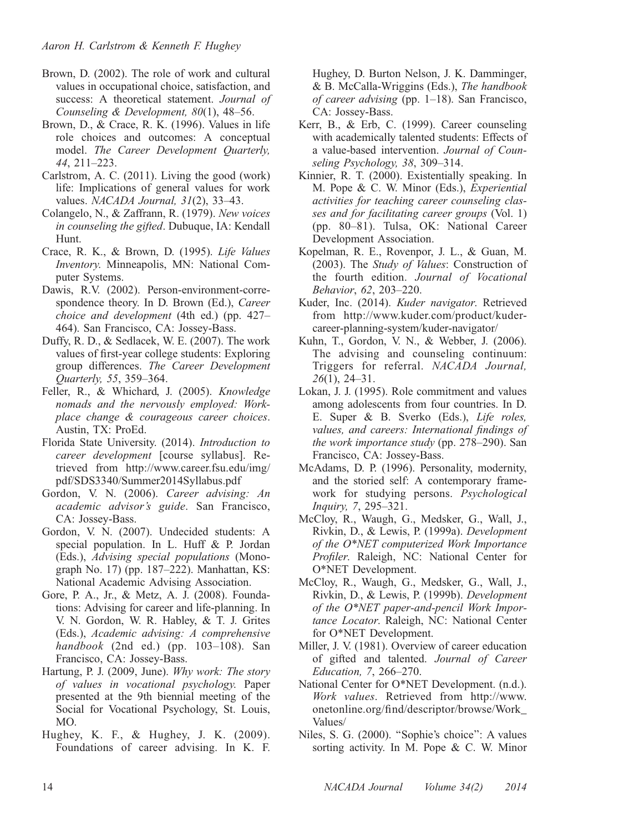- Brown, D. (2002). The role of work and cultural values in occupational choice, satisfaction, and success: A theoretical statement. Journal of Counseling & Development, 80(1), 48–56.
- Brown, D., & Crace, R. K. (1996). Values in life role choices and outcomes: A conceptual model. The Career Development Quarterly, 44, 211–223.
- Carlstrom, A. C. (2011). Living the good (work) life: Implications of general values for work values. NACADA Journal, 31(2), 33-43.
- Colangelo, N., & Zaffrann, R. (1979). New voices in counseling the gifted. Dubuque, IA: Kendall Hunt.
- Crace, R. K., & Brown, D. (1995). Life Values Inventory. Minneapolis, MN: National Computer Systems.
- Dawis, R.V. (2002). Person-environment-correspondence theory. In D. Brown (Ed.), Career choice and development (4th ed.) (pp. 427– 464). San Francisco, CA: Jossey-Bass.
- Duffy, R. D., & Sedlacek, W. E. (2007). The work values of first-year college students: Exploring group differences. The Career Development Quarterly, 55, 359–364.
- Feller, R., & Whichard, J. (2005). Knowledge nomads and the nervously employed: Workplace change & courageous career choices. Austin, TX: ProEd.
- Florida State University. (2014). Introduction to career development [course syllabus]. Retrieved from http://www.career.fsu.edu/img/ pdf/SDS3340/Summer2014Syllabus.pdf
- Gordon, V. N. (2006). Career advising: An academic advisor's guide. San Francisco, CA: Jossey-Bass.
- Gordon, V. N. (2007). Undecided students: A special population. In L. Huff & P. Jordan (Eds.), Advising special populations (Monograph No. 17) (pp. 187–222). Manhattan, KS: National Academic Advising Association.
- Gore, P. A., Jr., & Metz, A. J. (2008). Foundations: Advising for career and life-planning. In V. N. Gordon, W. R. Habley, & T. J. Grites (Eds.), Academic advising: A comprehensive handbook  $(2nd$ ed.)  $(pp. 103-108)$ . San Francisco, CA: Jossey-Bass.
- Hartung, P. J. (2009, June). Why work: The story of values in vocational psychology. Paper presented at the 9th biennial meeting of the Social for Vocational Psychology, St. Louis, MO.
- Hughey, K. F., & Hughey, J. K. (2009). Foundations of career advising. In K. F.

Hughey, D. Burton Nelson, J. K. Damminger, & B. McCalla-Wriggins (Eds.), The handbook of career advising (pp. 1–18). San Francisco, CA: Jossey-Bass.

- Kerr, B., & Erb, C. (1999). Career counseling with academically talented students: Effects of a value-based intervention. Journal of Counseling Psychology, 38, 309–314.
- Kinnier, R. T. (2000). Existentially speaking. In M. Pope & C. W. Minor (Eds.), Experiential activities for teaching career counseling classes and for facilitating career groups (Vol. 1) (pp. 80–81). Tulsa, OK: National Career Development Association.
- Kopelman, R. E., Rovenpor, J. L., & Guan, M. (2003). The Study of Values: Construction of the fourth edition. Journal of Vocational Behavior, 62, 203–220.
- Kuder, Inc. (2014). Kuder navigator. Retrieved from http://www.kuder.com/product/kudercareer-planning-system/kuder-navigator/
- Kuhn, T., Gordon, V. N., & Webber, J. (2006). The advising and counseling continuum: Triggers for referral. NACADA Journal, 26(1), 24–31.
- Lokan, J. J. (1995). Role commitment and values among adolescents from four countries. In D. E. Super & B. Sverko (Eds.), Life roles, values, and careers: International findings of the work importance study (pp. 278–290). San Francisco, CA: Jossey-Bass.
- McAdams, D. P. (1996). Personality, modernity, and the storied self: A contemporary framework for studying persons. Psychological Inquiry, 7, 295–321.
- McCloy, R., Waugh, G., Medsker, G., Wall, J., Rivkin, D., & Lewis, P. (1999a). Development of the O\*NET computerized Work Importance Profiler. Raleigh, NC: National Center for O\*NET Development.
- McCloy, R., Waugh, G., Medsker, G., Wall, J., Rivkin, D., & Lewis, P. (1999b). Development of the O\*NET paper-and-pencil Work Importance Locator. Raleigh, NC: National Center for O\*NET Development.
- Miller, J. V. (1981). Overview of career education of gifted and talented. Journal of Career Education, 7, 266–270.
- National Center for O\*NET Development. (n.d.). Work values. Retrieved from http://www. onetonline.org/find/descriptor/browse/Work\_ Values/
- Niles, S. G. (2000). ''Sophie's choice'': A values sorting activity. In M. Pope & C. W. Minor